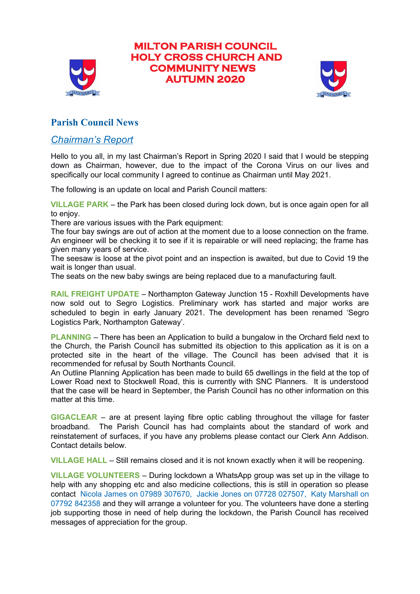

# **MILTON PARISH COUNCIL HOLY CROSS CHURCH AND COMMUNITY NEWS AUTUMN 2020**



## **Parish Council News**

### *Chairman's Report*

Hello to you all, in my last Chairman's Report in Spring 2020 I said that I would be stepping down as Chairman, however, due to the impact of the Corona Virus on our lives and specifically our local community I agreed to continue as Chairman until May 2021.

The following is an update on local and Parish Council matters:

**VILLAGE PARK** – the Park has been closed during lock down, but is once again open for all to enjoy.

There are various issues with the Park equipment:

The four bay swings are out of action at the moment due to a loose connection on the frame. An engineer will be checking it to see if it is repairable or will need replacing; the frame has given many years of service.

The seesaw is loose at the pivot point and an inspection is awaited, but due to Covid 19 the wait is longer than usual.

The seats on the new baby swings are being replaced due to a manufacturing fault.

**RAIL FREIGHT UPDATE** – Northampton Gateway Junction 15 - Roxhill Developments have now sold out to Segro Logistics. Preliminary work has started and major works are scheduled to begin in early January 2021. The development has been renamed 'Segro Logistics Park, Northampton Gateway'.

**PLANNING** – There has been an Application to build a bungalow in the Orchard field next to the Church, the Parish Council has submitted its objection to this application as it is on a protected site in the heart of the village. The Council has been advised that it is recommended for refusal by South Northants Council.

An Outline Planning Application has been made to build 65 dwellings in the field at the top of Lower Road next to Stockwell Road, this is currently with SNC Planners. It is understood that the case will be heard in September, the Parish Council has no other information on this matter at this time.

**GIGACLEAR** – are at present laying fibre optic cabling throughout the village for faster broadband. The Parish Council has had complaints about the standard of work and reinstatement of surfaces, if you have any problems please contact our Clerk Ann Addison. Contact details below.

**VILLAGE HALL** – Still remains closed and it is not known exactly when it will be reopening.

**VILLAGE VOLUNTEERS** – During lockdown a WhatsApp group was set up in the village to help with any shopping etc and also medicine collections, this is still in operation so please contact Nicola James on 07989 307670, Jackie Jones on 07728 027507, Katy Marshall on 07792 842358 and they will arrange a volunteer for you. The volunteers have done a sterling job supporting those in need of help during the lockdown, the Parish Council has received messages of appreciation for the group.